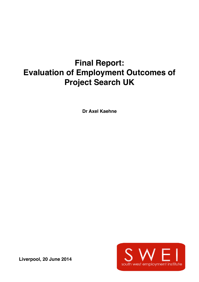# **Final Report: Evaluation of Employment Outcomes of Project Search UK**

**Dr Axel Kaehne** 



**Liverpool, 20 June 2014**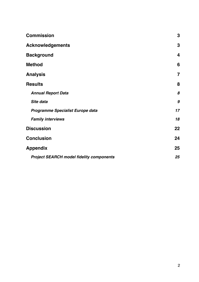| <b>Commission</b>                               | 3              |
|-------------------------------------------------|----------------|
| <b>Acknowledgements</b>                         | 3              |
| <b>Background</b>                               | 4              |
| <b>Method</b>                                   | 6              |
| <b>Analysis</b>                                 | $\overline{7}$ |
| <b>Results</b>                                  | 8              |
| <b>Annual Report Data</b>                       | 8              |
| Site data                                       | 9              |
| <b>Programme Specialist Europe data</b>         | 17             |
| <b>Family interviews</b>                        | 18             |
| <b>Discussion</b>                               | 22             |
| <b>Conclusion</b>                               | 24             |
| <b>Appendix</b>                                 | 25             |
| <b>Project SEARCH model fidelity components</b> | 25             |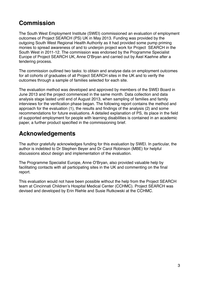### <span id="page-2-0"></span>**Commission**

The South West Employment Institute (SWEI) commissioned an evaluation of employment outcomes of Project SEARCH (PS) UK in May 2013. Funding was provided by the outgoing South West Regional Health Authority as it had provided some pump priming monies to spread awareness of and to underpin project work for Project SEARCH in the South West in 2011-12. The commission was endorsed by the Programme Specialist Europe of Project SEARCH UK, Anne O'Bryan and carried out by Axel Kaehne after a tendering process.

The commission outlined two tasks: to obtain and analyse data on employment outcomes for all cohorts of graduates of all Project SEARCH sites in the UK and to verify the outcomes through a sample of families selected for each site.

The evaluation method was developed and approved by members of the SWEI Board in June 2013 and the project commenced in the same month. Data collection and data analysis stage lasted until end of August 2013, when sampling of families and family interviews for the verification phase began. The following report contains the method and approach for the evaluation (1), the results and findings of the analysis (2) and some recommendations for future evaluations. A detailed explanation of PS, its place in the field of supported employment for people with learning disabilities is contained in an academic paper, a further product specified in the commissioning brief.

### <span id="page-2-1"></span>**Acknowledgements**

The author gratefully acknowledges funding for this evaluation by SWEI. In particular, the author is indebted to Dr Stephen Beyer and Dr Carol Robinson (MBE) for helpful discussions about design and implementation of the evaluation.

The Programme Specialist Europe, Anne O'Bryan, also provided valuable help by facilitating contacts with all participating sites in the UK and commenting on the final report.

This evaluation would not have been possible without the help from the Project SEARCH team at Cincinnati Children's Hospital Medical Center (CCHMC). Project SEARCH was devised and developed by Erin Riehle and Susie Rutkowski at the CCHMC.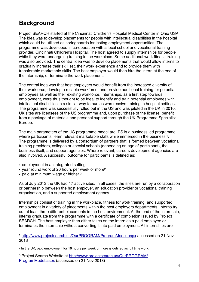### <span id="page-3-0"></span>**Background**

Project SEARCH started at the Cincinnati Children's Hospital Medical Center in Ohio USA. The idea was to develop placements for people with intellectual disabilities in the hospital which could be utilised as springboards for lasting employment opportunities. The programme was developed in co-operation with a local school and vocational training provider, Cincinnati Children's Hospital. The host agreed to supply internships for people while they were undergoing training in the workplace. Some additional work fitness training was also provided. The central idea was to develop placements that would allow interns to gradually increase their skill set, their work experience and to provide them with transferable marketable skills. The host employer would then hire the intern at the end of the internship, or terminate the work placement.

The central idea was that host employers would benefit from the increased diversity of their workforce, develop a reliable workforce, and provide additional training for potential employees as well as their existing workforce. Internships, as a first step towards employment, were thus thought to be ideal to identify and train potential employees with intellectual disabilities in a similar way to nurses who receive training in hospital settings. The programme was successfully rolled out in the US and was piloted in the UK in 2010. UK sites are licensees of the US programme and, upon purchase of the license, benefit from a package of materials and personal support through the UK Programme Specialist Europe.

The main parameters of the US programme model are: PS is a business led programme where participants ʻlearn relevant marketable skills while immersed in the business' [1](#page-3-1). The programme is delivered by a consortium of partners that is formed between vocational training providers, colleges or special schools (depending on age of participant), the business itself, and support agencies. Where relevant, careers development agencies are also involved. A successful outcome for participants is defined as:

- employment in an integrated setting
- year round work of 20 hours per week or more[2](#page-3-2)
- paid at minimum wage or higher <sup>[3](#page-3-3)</sup>

As of July 2013 the UK had 17 active sites. In all cases, the sites are run by a collaboration or partnership between the host employer, an education provider or vocational training organisation, and a supported employment agency.

Internships consist of training in the workplace, fitness for work training, and supported employment in a variety of placements within the host employers departments. Interns try out at least three different placements in the host environment. At the end of the internship, interns graduate from the programme with a certificate of completion issued by Project SEARCH. The host employer then either takes on the intern as a paid employee or terminates the internship without converting it into paid employment. All internships are

<span id="page-3-1"></span><sup>1</sup> <http://www.projectsearch.us/OurPROGRAM/ProgramModel.aspx> accessed on 21 Nov 2013

<span id="page-3-3"></span>3 Project Search Website at [http://www.projectsearch.us/OurPROGRAM/](http://www.projectsearch.us/OurPROGRAM/ProgramModel.aspx) [ProgramModel.aspx](http://www.projectsearch.us/OurPROGRAM/ProgramModel.aspx) (accessed on 21 Nov 2013)

<span id="page-3-2"></span><sup>2</sup> In the UK, paid employment for 16 hours per week or more is defined as full time work.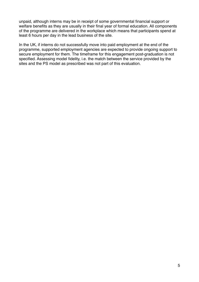unpaid, although interns may be in receipt of some governmental financial support or welfare benefits as they are usually in their final year of formal education. All components of the programme are delivered in the workplace which means that participants spend at least 6 hours per day in the lead business of the site.

In the UK, if interns do not successfully move into paid employment at the end of the programme, supported employment agencies are expected to provide ongoing support to secure employment for them. The timeframe for this engagement post-graduation is not specified. Assessing model fidelity, i.e. the match between the service provided by the sites and the PS model as prescribed was not part of this evaluation.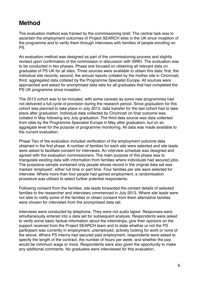### <span id="page-5-0"></span>**Method**

The evaluation method was framed by the commissioning brief. The central task was to ascertain the employment outcomes of Project SEARCH sites in the UK since inception of the programme and to verify them through interviews with families of people enrolling on PS.

An evaluation method was designed as part of the commissioning process and slightly revised upon confirmation of the commission in discussion with SWEI. The evaluation was to be conducted in two phases. Phase one focused on obtaining all relevant data on graduates of PS UK for all sites. Three sources were available to obtain this data: first, the individual site records; second, the annual reports collated by the mother site in Cincinnati; third, aggregated data collated by the Programme Specialist Europe. All sources were approached and asked for anonymised data sets for all graduates that had completed the PS UK programme since inception.

The 2013 cohort was to be included, with some caveats as some new programmes had not delivered a full cycle of provision during the research period. Since graduation for this cohort was planned to take place in July 2013, data transfer for the last cohort had to take place after graduation. Individual data collected by Cincinnati on final outcome was collated in May following any July graduation. The third data source was data collected from sites by the Programme Specialist Europe in May after graduation, but on an aggregate level for the purpose of programme monitoring. All data was made available to the current evaluation.

Phase Two of the evaluation included verification of the employment outcome data obtained in the first phase. A number of families for each site were selected and site leads were asked to facilitate consent for interviews. An interview schedule was designed and agreed with the evaluation commissioners. The main purpose of this phase was to triangulate existing data with information from families where individuals had secured jobs. The purposive sample contained only people whose record in the original data set was marked ʻemployed', either full time or part time. Four families per site were selected for interview. Where more than four people had gained employment, a randomisation procedure was utilised to select further potential respondents.

Following consent from the families, site leads forwarded the contact details of selected families to the researcher and interviews commenced in July 2013. Where site leads were not able to notify some of the families or obtain consent from them alternative families were chosen for interviews from the anonymised data set.

Interviews were conducted by telephone. They were not audio taped. Responses were simultaneously entered into a data set for subsequent analysis. Respondents were asked to verify some basic factual information about the internships, give their opinions on the support received from the Project SEARCH team and to state whether or not the PS participant was currently in employment, unemployed, actively looking for work or none of the above. Where PS interns had secured paid employment, respondents were asked to specify the length of the contract, the number of hours per week, and whether the pay would be minimum wage or more. Respondents were also given the opportunity to make any additional comments. No graduates were interviewed for this evaluation.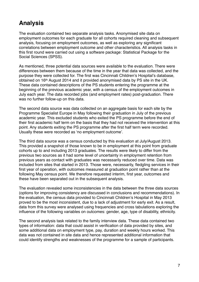### <span id="page-6-0"></span>**Analysis**

The evaluation contained two separate analysis tasks. Anonymised site data on employment outcomes for each graduate for all cohorts required cleaning and subsequent analysis, focusing on employment outcomes, as well as exploring any significant correlations between employment outcome and other characteristics. All analysis tasks in this first round were carried out using a software package: Statistical Package for the Social Sciences (SPSS).

As mentioned, three potential data sources were available to the evaluation. There were differences between them because of the time in the year that data was collected, and the purpose they were collected for. The first was Cincinnati Children's Hospital's database, obtained on 16th August 2014 and it provided anonymised data by PS site in the UK. These data contained descriptions of the PS students entering the programme at the beginning of the previous academic year, with a census of the employment outcomes in July each year. The data recorded jobs (and employment rates) post-graduation. There was no further follow-up on this data.

The second data source was data collected on an aggregate basis for each site by the Programme Specialist Europe in May following their graduation in July of the previous academic year. This excluded students who exited the PS programme before the end of their first academic half term on the basis that they had not received the intervention at this point. Any students exiting the PS programme after the first half term were recorded. Usually these were recorded as ʻno employment outcome'.

The third data source was a census conducted by this evaluation at July/August 2013. This provided a snapshot of those known to be in employment at this point from graduate cohorts up to and including 2013 graduates. The results were likely to differ from the previous two sources as it had some level of uncertainty in employment retention from previous years as contact with graduates was necessarily reduced over time. Data was included from sites that started in 2013. Those were, necessarily, fledgling services in their first year of operation, with outcomes measured at graduation point rather than at the following May census point. We therefore requested interim, first year, outcomes and these have been separated out in the subsequent analysis.

The evaluation revealed some inconsistencies in the data between the three data sources (options for improving consistency are discussed in conclusions and recommendations). In the evaluation, the census data provided to Cincinnati Children's Hospital in May 2013 proved to be the most inconsistent, due to a lack of adjustment for early exit. As a result, data from this survey were analysed using frequencies and cross tabulations exploring the influence of the following variables on outcomes: gender, age, type of disability, ethnicity.

The second analysis task related to the family interview data. These data contained two types of information: data that could assist in verification of data provided by sites, and some additional data on employment type, pay, duration and weekly hours worked. This data was not contained in site data and hence represented additional information that could identify strengths and weaknesses of the programme for a sample of participants.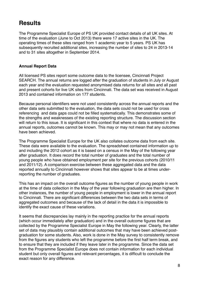### <span id="page-7-0"></span>**Results**

The Programme Specialist Europe of PS UK provided contact details of all UK sites. At time of the evaluation (June to Oct 2013) there were 17 active sites in the UK. The operating times of these sites ranged from 1 academic year to 5 years. PS UK has subsequently recruited additional sites, increasing the number of sites to 24 in 2013-14 and to 31 sites altogether in September 2014.

#### <span id="page-7-1"></span>**Annual Report Data**

All licensed PS sites report some outcome data to the licensee, Cincinnati Project SEARCH. The annual returns are logged after the graduation of students in July or August each year and the evaluation requested anonymised data returns for all sites and all past and present cohorts for live UK sites from Cincinnati. The data set was received in August 2013 and contained information on 177 students.

Because personal identifiers were not used consistently across the annual reports and the other data sets submitted to the evaluation, the data sets could not be used for cross referencing and data gaps could not be filled systematically. This demonstrates some of the strengths and weaknesses of the existing reporting structure. The discussion section will return to this issue. It is significant in this context that where no data is entered in the annual reports, outcomes cannot be known. This may or may not mean that any outcomes have been achieved.

The Programme Specialist Europe for the UK also collates outcome data from each site. These data were available to the evaluation. The spreadsheet contained information up to and including the 2012 cohort as it is based on a census in the May of the following year after graduation. It does record the total number of graduates and the total number of young people who have obtained employment per site for the previous cohorts (2010/11 and 2011/12). A comparison exercise between these aggregated data and the data reported annually to Cincinnati however shows that sites appear to be at times underreporting the number of graduates.

This has an impact on the overall outcome figures as the number of young people in work at the time of data collection in the May of the year following graduation are then higher. In other instances, the number of young people in employment is lower in the annual report to Cincinnati. There are significant differences between the two data sets in terms of aggregated outcomes and because of the lack of detail in the data it is impossible to identify the exact cause of these variations.

It seems that discrepancies lay mainly in the reporting practice for the annual reports (which occur immediately after graduation) and in the overall outcome figures that are collected by the Programme Specialist Europe in May the following year. Clearly, the latter set of data may plausibly contain additional outcomes that may have been achieved postgraduation for some students. Also, work is done in the May survey to consistently remove from the figures any students who left the programme before the first half term break, and to ensure that they are included if they leave later in the programme. Since the data set from the Programme Specialist Europe does not contain information for each individual student but only overall figures and relevant percentages, it is difficult to conclude the exact reason for any difference.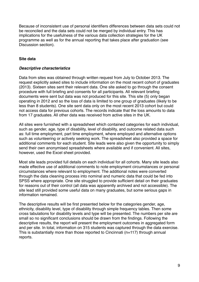Because of inconsistent use of personal identifiers differences between data sets could not be reconciled and the data sets could not be merged by individual entry. This has implications for the usefulness of the various data collection strategies for the UK programme as well as for the annual reporting that takes place after graduation (see Discussion section).

#### <span id="page-8-0"></span>**Site data**

#### *Descriptive characteristics*

Data from sites was obtained through written request from July to October 2013. The request explicitly asked sites to include information on the most recent cohort of graduates (2013). Sixteen sites sent their relevant data. One site asked to go through the consent procedure with full briefing and consents for all participants. All relevant briefing documents were sent but data was not produced for this site. This site (5) only began operating in 2012 and so the loss of data is limited to one group of graduates (likely to be less than 8 students). One site sent data only on the most recent 2013 cohort but could not access data for previous cohorts. The records indicate that the loss amounts to data from 17 graduates. All other data was received from active sites in the UK.

All sites were furnished with a spreadsheet which contained categories for each individual, such as gender, age, type of disability, level of disability, and outcome related data such as: full time employment, part time employment, where employed and alternative options such as volunteering or actively seeking work. The spreadsheet also provided a space for additional comments for each student. Site leads were also given the opportunity to simply send their own anonymised spreadsheets where available and if convenient. All sites, however, used the Excel sheet provided.

Most site leads provided full details on each individual for all cohorts. Many site leads also made effective use of additional comments to note employment circumstances or personal circumstances where relevant to employment. The additional notes were converted through the data cleaning process into nominal and numeric data that could be fed into SPSS where appropriate. One site struggled to provide sufficient detail on their graduates for reasons out of their control (all data was apparently archived and not accessible). The site lead still provided some useful data on many graduates, but some serious gaps in information remained.

The descriptive results will be first presented below for the categories gender, age, ethnicity, disability level, type of disability through simple frequency tables. Then some cross tabulations for disability levels and type will be presented. The numbers per site are small so no significant conclusions should be drawn from the findings. Following the descriptive results, the report will present the employment outcomes in aggregated form and per site. In total, information on 315 students was captured through the data exercise. This is substantially more than those reported to Cincinnati (n=117) through annual reports.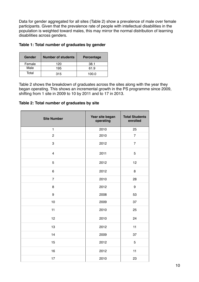Data for gender aggregated for all sites (Table 2) show a prevalence of male over female participants. Given that the prevalence rate of people with intellectual disabilities in the population is weighted toward males, this may mirror the normal distribution of learning disabilities across genders.

| Gender | <b>Number of students</b> | Percentage |
|--------|---------------------------|------------|
| Female | 120                       | 38.1       |
| Male   | 195                       | 61.9       |
| Total  | 315                       | 100.0      |

#### **Table 1: Total number of graduates by gender**

Table 2 shows the breakdown of graduates across the sites along with the year they began operating. This shows an incremental growth in the PS programme since 2009, shifting from 1 site in 2009 to 10 by 2011 and to 17 in 2013.

#### **Table 2: Total number of graduates by site**

| <b>Site Number</b>      | Year site began<br>operating | <b>Total Students</b><br>enrolled |
|-------------------------|------------------------------|-----------------------------------|
| $\mathbf{1}$            | 2010                         | 25                                |
| $\overline{c}$          | 2010                         | $\overline{7}$                    |
| 3                       | 2012                         | $\overline{7}$                    |
| $\overline{\mathbf{4}}$ | 2011                         | 5                                 |
| 5                       | 2012                         | 12                                |
| 6                       | 2012                         | 8                                 |
| $\overline{7}$          | 2010                         | 28                                |
| 8                       | 2012                         | 9                                 |
| 9                       | 2008                         | 53                                |
| 10                      | 2009                         | 37                                |
| 11                      | 2010                         | 25                                |
| 12                      | 2010                         | 24                                |
| 13                      | 2012                         | 11                                |
| 14                      | 2009                         | 37                                |
| 15                      | 2012                         | 5                                 |
| 16                      | 2012                         | 11                                |
| 17                      | 2010                         | 23                                |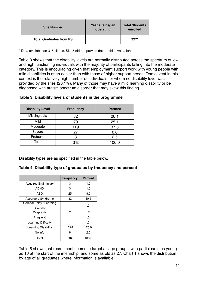| <b>Site Number</b>             | Year site began<br>operating | <b>Total Students</b><br>enrolled |
|--------------------------------|------------------------------|-----------------------------------|
| <b>Total Graduates from PS</b> |                              | $327*$                            |

\* Data available on 315 clients. Site 5 did not provide data to this evaluation.

Table 3 shows that the disability levels are normally distributed across the spectrum of low and high functioning individuals with the majority of participants falling into the moderate category. This is encouraging given that employment support work with young people with mild disabilities is often easier than with those of higher support needs. One caveat in this context is the relatively high number of individuals for whom no disability level was provided by the sites (26.1%). Many of those may have a mild learning disability or be diagnosed with autism spectrum disorder that may skew this finding.

| <b>Disability Level</b> | <b>Frequency</b> | <b>Percent</b> |
|-------------------------|------------------|----------------|
| Missing data            | 82               | 26.1           |
| Mild                    | 79               | 25.1           |
| Moderate                | 119              | 37.8           |
| Severe                  | 27               | 8.6            |
| Profound                | 8                | 2.5            |
| Total                   | 315              | 100.0          |

| Table 3. Disability levels of students in the programme |
|---------------------------------------------------------|
|---------------------------------------------------------|

Disability types are as specified in the table below.

#### **Table 4. Disability type of graduates by frequency and percent**

|                          | <b>Frequency</b> | <b>Percent</b> |
|--------------------------|------------------|----------------|
| Acquired Brain Injury    | 3                | 1.0            |
| ADHD                     | 3                | 1.0            |
| ASD                      | 25               | 8.2            |
| Aspergers Syndrome       | 32               | 10.5           |
| Cerebal Palsy / Learning | 1                | .3             |
| Disability               |                  |                |
| Dyspraxia                | 2                | .7             |
| Fragile X                | 1                | .3             |
| Learning Difficulty      | 1                | .3             |
| Learning Disability      | 228              | 75.0           |
| No info                  | 8                | 2.6            |
| Total                    | 304              | 100.0          |

Table 5 shows that recruitment seems to target all age groups, with participants as young as 16 at the start of the internship, and some as old as 27. Chart 1 shows the distribution by age of all graduates where information is available.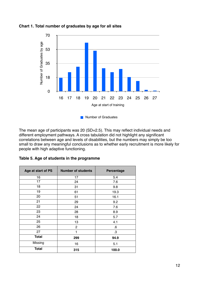

**Chart 1. Total number of graduates by age for all sites**

The mean age of participants was 20 (SD=2.5). This may reflect individual needs and different employment pathways. A cross tabulation did not highlight any significant correlations between age and levels of disabilities, but the numbers may simply be too small to draw any meaningful conclusions as to whether early recruitment is more likely for people with high adaptive functioning.

| Table 5. Age of students in the programme |
|-------------------------------------------|
|                                           |

| Age at start of PS | <b>Number of students</b> | Percentage |
|--------------------|---------------------------|------------|
| 16                 | 17                        | 5.4        |
| 17                 | 24                        | 7.6        |
| 18                 | 31                        | 9.8        |
| 19                 | 61                        | 19.3       |
| 20                 | 51                        | 16.1       |
| 21                 | 29                        | 9.2        |
| 22                 | 24                        | 7.6        |
| 23                 | 28                        | 8.9        |
| 24                 | 18                        | 5.7        |
| 25                 | 13                        | 4.1        |
| 26                 | $\overline{c}$            | $.6\,$     |
| 27                 | 1                         | $\cdot$ 3  |
| <b>Total</b>       | 299                       | 94.9       |
| Missing            | 16                        | 5.1        |
| <b>Total</b>       | 315                       | 100.0      |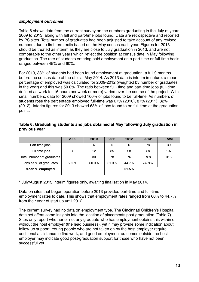#### *Employment outcomes*

Table 6 shows data from the current survey on the numbers graduating in the July of years 2009 to 2013, along with full and part-time jobs found. Data are retrospective and reported by PS sites. Total number of graduates had been adjusted to take account of any revised numbers due to first term exits based on the May census each year. Figures for 2013 should be treated as interim as they are close to July graduation in 2013, and are not comparable to the other years which reflect the position at census date in May following graduation. The rate of students entering paid employment on a part-time or full-time basis ranged between 45% and 60%.

For 2013, 33% of students had been found employment at graduation, a full 9 months before the census date of the official May 2014. As 2013 data is interim in nature, a mean percentage of employed was calculated for 2009-2012 (weighted by number of graduates in the year) and this was 50.0%. The ratio between full- time and part-time jobs (full-time defined as work for 16 hours per week or more) varied over the course of the project. With small numbers, data for 2009 showed 100% of jobs found to be full-time. As numbers of students rose the percentage employed full-time was 67% (2010), 87% (2011), 82% (2012). Interim figures for 2013 showed 68% of jobs found to be full time at the graduation point..

|                           | 2009  | 2010  | 2011  | 2012  | 2013* | <b>Total</b> |
|---------------------------|-------|-------|-------|-------|-------|--------------|
| Part time jobs            | 0     | 6     | 5     | 6     | 13    | 30           |
| Full time jobs            | 4     | 12    | 35    | 28    | 28    | 107          |
| Total number of graduates | 8     | 30    | 78    | 76    | 123   | 315          |
| Jobs as % of graduates    | 50.0% | 60.0% | 51.3% | 44.7% | 33.3% |              |
| Mean % employed           |       |       |       | 51.5% |       |              |

#### **Table 6: Graduating students and jobs obtained at May following July graduation in previous year**

\* July/August 2013 interim figures only, awaiting finalisation in May 2014.

Data on sites that began operation before 2013 provided part-time and full-time employment rates to date. This shows that employment rates ranged from 60% to 44.7% from their year of start up until 2012.

The current survey had no data on employment type. The Cincinnati Children's Hospital data set offers some insights into the location of placements post-graduation (Table 7). Sites only report whether or not any graduate who has employment obtains this within or without the host employer (the lead business), yet it may provide some indication about follow-up support. Young people who are not taken on by the host employer require additional assistance to find work, and good employment outcomes outside the host employer may indicate good post-graduation support for those who have not been successful yet.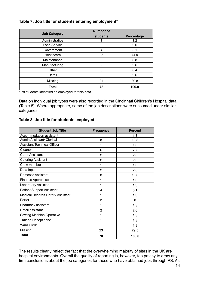#### **Table 7: Job title for students entering employment\***

|                     | <b>Number of</b> |            |
|---------------------|------------------|------------|
| <b>Job Category</b> | students         | Percentage |
| Administrative      |                  | 1.2        |
| <b>Food Service</b> | $\mathbf{2}$     | 2.6        |
| Government          | 4                | 5.1        |
| Healthcare          | 35               | 44.9       |
| Maintenance         | 3                | 3.8        |
| Manufacturing       | 2                | 2.6        |
| Other               | 5                | 6.4        |
| Retail              | 2                | 2.6        |
| Missing             | 24               | 30.8       |
| <b>Total</b>        | 78               | 100.0      |

\* 78 students identified as employed for this data

Data on individual job types were also recorded in the Cincinnati Children's Hospital data (Table 8). Where appropriate, some of the job descriptions were subsumed under similar categories.

#### **Table 8. Job title for students employed**

| <b>Student Job Title</b>                 | <b>Frequency</b> | <b>Percent</b> |
|------------------------------------------|------------------|----------------|
| Accommodation assistant                  | 1                | 1.3            |
| <b>Admin Assistant/ Clerical</b>         | 8                | 10.3           |
| <b>Assistant Technical Officer</b>       | 1                | 1.3            |
| Cleaner                                  | 6                | 7.7            |
| <b>Carer Assistant</b>                   | $\overline{c}$   | 2.6            |
| <b>Catering Assistant</b>                | 2                | 2.6            |
| Crew member                              | 1                | 1.3            |
| Data Input                               | 2                | 2.6            |
| <b>Domestic Assistant</b>                | 8                | 10.3           |
| <b>Finance Apprentice</b>                | 1                | 1.3            |
| Laboratory Assistant                     | 1                | 1.3            |
| <b>Patient Support Assistant</b>         | 4                | 5.1            |
| <b>Medical Records Library Assistant</b> | 1                | 1.3            |
| Porter                                   | 11               | 6              |
| Pharmacy assistant                       | 1                | 1.3            |
| Retail assistant                         | 2                | 2.6            |
| Sewing Machine Operative                 | 1                | 1.3            |
| <b>Trainee Receptionist</b>              | 1                | 1.3            |
| <b>Ward Clerk</b>                        | 1                | 1.3            |
| Missing                                  | 23               | 29.5           |
| <b>Total</b>                             | 78               | 100.0          |

The results clearly reflect the fact that the overwhelming majority of sites in the UK are hospital environments. Overall the quality of reporting is, however, too patchy to draw any firm conclusions about the job categories for those who have obtained jobs through PS. As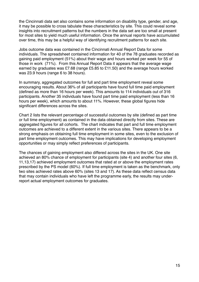the Cincinnati data set also contains some information on disability type, gender, and age, it may be possible to cross tabulate these characteristics by site. This could reveal some insights into recruitment patterns but the numbers in the data set are too small at present for most sites to yield much useful information. Once the annual reports have accumulated over time, this may be a helpful way of identifying recruitment patterns for each site.

Jobs outcome data was contained in the Cincinnati Annual Report Data for some individuals. The spreadsheet contained information for 40 of the 78 graduates recorded as gaining paid employment (51%) about their wage and hours worked per week for 55 of those in work (71%). From this Annual Report Data it appears that the average wage earned by graduates was £7.68 (range £5.85 to £11.50) and the average hours worked was 23.9 hours (range 6 to 38 hours).

In summary, aggregated outcomes for full and part time employment reveal some encouraging results. About 36% of all participants have found full time paid employment (defined as more than 16 hours per week). This amounts to 114 individuals out of 316 participants. Another 35 individuals have found part time paid employment (less than 16 hours per week), which amounts to about 11%. However, these global figures hide significant differences across the sites.

Chart 2 lists the relevant percentage of successful outcomes by site (defined as part time or full time employment) as contained in the data obtained directly from sites. These are aggregated figures for all cohorts. The chart indicates that part and full time employment outcomes are achieved to a different extent in the various sites. There appears to be a strong emphasis on obtaining full time employment in some sites, even to the exclusion of part time employment outcomes. This may have implications for developing employment opportunities or may simply reflect preferences of participants.

The chances of gaining employment also differed across the sites in the UK. One site achieved an 80% chance of employment for participants (site 4) and another four sites (6, 11,13,17) achieved employment outcomes that rated at or above the employment rates prescribed by the PS model (60%). If full time employment is taken as the benchmark, only two sites achieved rates above 60% (sites 13 and 17). As these data reflect census data that may contain individuals who have left the programme early, the results may underreport actual employment outcomes for graduates.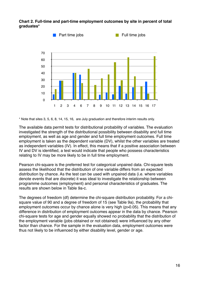



\* Note that sites 3, 5, 6, 8, 14, 15, 16, are July graduation and therefore interim results only.

The available data permit tests for distributional probability of variables. The evaluation investigated the strength of the distributional possibility between disability and full time employment, as well as age and gender and full time employment outcomes. Full time employment is taken as the dependent variable (DV), whilst the other variables are treated as independent variables (IV). In effect, this means that if a positive association between IV and DV is identified, a test would indicate that people who possess characteristics relating to IV may be more likely to be in full time employment.

Pearson chi-square is the preferred test for categorical unpaired data. Chi-square tests assess the likelihood that the distribution of one variable differs from an expected distribution by chance. As the test can be used with unpaired data (i.e. where variables denote events that are discrete) it was ideal to investigate the relationship between programme outcomes (employment) and personal characteristics of graduates. The results are shown below in Table 9a-c.

The degrees of freedom (df) determine the chi-square distribution probability. For a chisquare value of 90 and a degree of freedom of 15 (see Table 9a), the probability that employment outcomes occur by chance alone is very high (p>0.05). This means that any difference in distribution of employment outcomes appear in the data by chance. Pearson chi-square tests for age and gender equally showed no probability that the distribution of the employment variable (jobs obtained or not obtained) were influenced by any other factor than chance. For the sample in the evaluation data, employment outcomes were thus not likely to be influenced by either disability level, gender or age.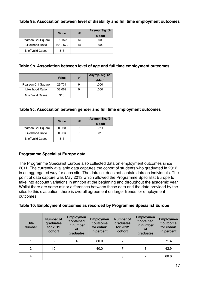#### **Table 9a. Association between level of disability and full time employment outcomes**

|                    | Value    | df | Asymp. Sig. (2- |
|--------------------|----------|----|-----------------|
|                    |          |    | sided)          |
| Pearson Chi-Square | 90.973   | 15 | .000            |
| Likelihood Ratio   | 1010.672 | 15 | .000            |
| N of Valid Cases   | 315      |    |                 |

#### **Table 9b. Association between level of age and full time employment outcomes**

|                    | <b>Value</b> | df | Asymp. Sig. (2- |
|--------------------|--------------|----|-----------------|
|                    |              |    | sided)          |
| Pearson Chi-Square | 29.731       |    | .000            |
| Likelihood Ratio   | 38.062       |    | .000            |
| N of Valid Cases   | 315          |    |                 |

#### **Table 9c. Association between gender and full time employment outcomes**

|                    | Value | df | Asymp. Sig. (2- |
|--------------------|-------|----|-----------------|
|                    |       |    | sided)          |
| Pearson Chi-Square | 0.960 |    | .811            |
| Likelihood Ratio   | 0.963 |    | .810            |
| N of Valid Cases   | 315   |    |                 |

### <span id="page-16-0"></span>**Programme Specialist Europe data**

The Programme Specialist Europe also collected data on employment outcomes since 2011. The currently available data captures the cohort of students who graduated in 2012 in an aggregated way for each site. The data set does not contain data on individuals. The point of data capture was May 2013 which allowed the Programme Specialist Europe to take into account variations in attrition at the beginning and throughout the academic year. Whilst there are some minor differences between these data and the data provided by the sites to this evaluation, there is overall agreement on larger trends for employment outcomes.

|  | Table 10: Employment outcomes as recorded by Programme Specialist Europe |  |  |  |  |
|--|--------------------------------------------------------------------------|--|--|--|--|
|--|--------------------------------------------------------------------------|--|--|--|--|

| <b>Site</b><br><b>Number</b> | <b>Number of</b><br>graduates<br>for 2011<br>cohort | <b>Employmen</b><br>t obtained<br>in number<br>Οf<br>graduates | <b>Employmen</b><br>t outcome<br>for cohort<br>in percent | <b>Number of</b><br>graduates<br>for 2012<br>cohort | <b>Employmen</b><br>t obtained<br>in number<br>O1<br>graduates | <b>Employmen</b><br>t outcome<br>for cohort<br>in percent |
|------------------------------|-----------------------------------------------------|----------------------------------------------------------------|-----------------------------------------------------------|-----------------------------------------------------|----------------------------------------------------------------|-----------------------------------------------------------|
|                              | 5                                                   | 4                                                              | 80.0                                                      |                                                     | 5                                                              | 71.4                                                      |
| 2                            | 10                                                  | 4                                                              | 40.0                                                      |                                                     | 3                                                              | 42.9                                                      |
| 4                            |                                                     |                                                                |                                                           | 3                                                   | 2                                                              | 66.6                                                      |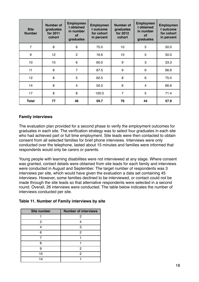| <b>Site</b><br><b>Number</b> | <b>Number of</b><br>graduates<br>for 2011<br>cohort | <b>Employmen</b><br>t obtained<br>in number<br><b>of</b><br>graduates | <b>Employmen</b><br>t outcome<br>for cohort<br>in percent | <b>Number of</b><br>graduates<br>for 2012<br>cohort | <b>Employmen</b><br>t obtained<br>in number<br><b>of</b><br>graduates | <b>Employmen</b><br>t outcome<br>for cohort<br>in percent |
|------------------------------|-----------------------------------------------------|-----------------------------------------------------------------------|-----------------------------------------------------------|-----------------------------------------------------|-----------------------------------------------------------------------|-----------------------------------------------------------|
| $\overline{7}$               | 8                                                   | 6                                                                     | 75.0                                                      | 10                                                  | 5                                                                     | 50.0                                                      |
| 9                            | 12 <sub>2</sub>                                     | $\overline{2}$                                                        | 16.6                                                      | 10                                                  | 5                                                                     | 50.0                                                      |
| 10                           | 10                                                  | $6\phantom{1}6$                                                       | 60.0                                                      | $\boldsymbol{9}$                                    | 3                                                                     | 33.3                                                      |
| 11                           | 8                                                   | $\overline{7}$                                                        | 87.5                                                      | $\boldsymbol{9}$                                    | $6\phantom{1}$                                                        | 66.6                                                      |
| 12                           | 8                                                   | 5                                                                     | 62.5                                                      | 8                                                   | 6                                                                     | 75.0                                                      |
| 14                           | 8                                                   | 4                                                                     | 50.0                                                      | $6\phantom{1}$                                      | 4                                                                     | 66.6                                                      |
| 17                           | 8                                                   | 8                                                                     | 100.0                                                     | 7                                                   | 5                                                                     | 71.4                                                      |
| <b>Total</b>                 | 77                                                  | 46                                                                    | 59.7                                                      | 76                                                  | 44                                                                    | 57.9                                                      |

#### <span id="page-17-0"></span>**Family interviews**

The evaluation plan provided for a second phase to verify the employment outcomes for graduates in each site. The verification strategy was to select four graduates in each site who had achieved part or full time employment. Site leads were then contacted to obtain consent from all selected families for brief phone interviews. Interviews were only conducted over the telephone, lasted about 15 minutes and families were informed that respondents would only be carers or parents.

Young people with learning disabilities were not interviewed at any stage. Where consent was granted, contact details were obtained from site leads for each family and interviews were conducted in August and September. The target number of respondents was 3 interviews per site, which would have given the evaluation a data set containing 45 interviews. However, some families declined to be interviewed, or contact could not be made through the site leads so that alternative respondents were selected in a second round. Overall, 26 interviews were conducted. The table below indicates the number of interviews conducted per site.

|  | Table 11. Number of Family interviews by site |  |  |  |  |  |
|--|-----------------------------------------------|--|--|--|--|--|
|--|-----------------------------------------------|--|--|--|--|--|

| <b>Site number</b> | <b>Number of interviews</b> |
|--------------------|-----------------------------|
|                    | 2                           |
| 2                  |                             |
|                    | З                           |
| 6                  | 2                           |
|                    |                             |
| я                  |                             |
|                    | 2                           |
| 10                 | 2                           |
| 4                  |                             |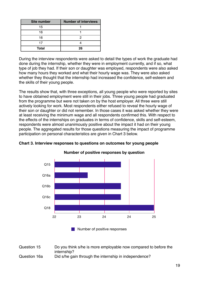| <b>Site number</b> | <b>Number of interviews</b> |
|--------------------|-----------------------------|
| 15                 |                             |
| 16                 |                             |
| 16                 | ヮ                           |
|                    |                             |
| <b>Total</b>       | ንፍ                          |

During the interview respondents were asked to detail the types of work the graduate had done during the internship, whether they were in employment currently, and if so, what type of job they had. If their son or daughter was employed, respondents were also asked how many hours they worked and what their hourly wage was. They were also asked whether they thought that the internship had increased the confidence, self-esteem and the skills of their young people.

The results show that, with three exceptions, all young people who were reported by sites to have obtained employment were still in their jobs. Three young people had graduated from the programme but were not taken on by the host employer. All three were still actively looking for work. Most respondents either refused to reveal the hourly wage of their son or daughter or did not remember. In those cases it was asked whether they were at least receiving the minimum wage and all respondents confirmed this. With respect to the effects of the internships on graduates in terms of confidence, skills and self-esteem, respondents were almost unanimously positive about the impact it had on their young people. The aggregated results for those questions measuring the impact of programme participation on personal characteristics are given in Chart 3 below.



**Number of positive responses by question**

**Chart 3. Interview responses to questions on outcomes for young people**

Number of positive responses

Question 15# # Do you think s/he is more employable now compared to before the internship? Question 16a Did s/he gain through the internship in independence?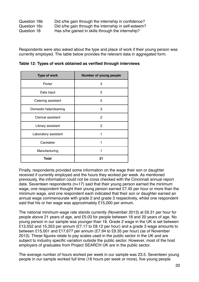| Question 16b | Did s/he gain through the internship in confidence?  |
|--------------|------------------------------------------------------|
| Question 16c | Did s/he gain through the internship in self-esteem? |
| Question 18  | Has s/he gained in skills through the internship?    |

Respondents were also asked about the type and place of work if their young person was currently employed. The table below provides the relevant data in aggregated form.

| <b>Type of work</b>    | Number of young people |
|------------------------|------------------------|
| Porter                 | 3                      |
| Data input             | $\mathbf{2}$           |
| Catering assistant     | 5                      |
| Domestic help/cleaning | 3                      |
| Clerical assistant     | 2                      |
| Library assistant      | 2                      |
| Laboratory assistant   | 1                      |
| Caretaker              | 1                      |
| Manufacturing          | 1                      |
| Total                  | 21                     |

**Table 12: Types of work obtained as verified through interviews**

Finally, respondents provided some information on the wage their son or daughter received if currently employed and the hours they worked per week. As mentioned previously, the information could not be cross checked with the Cincinnati annual report data. Seventeen respondents (n=17) said that their young person earned the minimum wage, one respondent thought their young person earned £7.45 per hour or more than the minimum wage, and one respondent each indicated that their son or daughter earned an annual wage commensurate with grade 2 and grade 3 respectively, whilst one respondent said that his or her wage was approximately £15,000 per annum.

The national minimum wage rate stands currently (November 2013) at £6.31 per hour for people above 21 years of age, and £5.03 for people between 18 and 20 years of age. No young person in our sample was younger than 18. Grade 2 wage in the UK is set between £13,552 and 15,353 per annum (£7.17 to £8.12 per hour) and a grade 3 wage amounts to between £15,001 and £17,677 per annum (£7.94 to £9.35 per hour) (as of November 2013). These figures relate to pay scales used in the public sector in the UK and are subject to industry specific variation outside the public sector. However, most of the host employers of graduates from Project SEARCH UK are in the public sector.

The average number of hours worked per week in our sample was 23.5. Seventeen young people in our sample worked full time (16 hours per week or more), five young people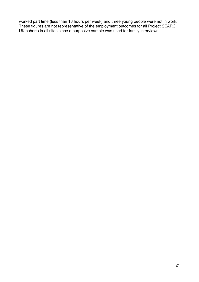worked part time (less than 16 hours per week) and three young people were not in work. These figures are not representative of the employment outcomes for all Project SEARCH UK cohorts in all sites since a purposive sample was used for family interviews.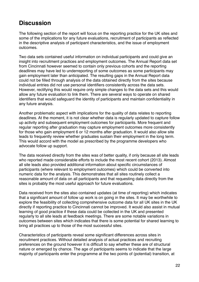### <span id="page-21-0"></span>**Discussion**

The following section of the report will focus on the reporting practice for the UK sites and some of the implications for any future evaluations, recruitment of participants as reflected in the descriptive analysis of participant characteristics, and the issue of employment outcomes.

Two data sets contained useful information on individual participants and could give an insight into recruitment practices and employment outcomes. The Annual Report data set from Cincinnati however seemed to contain only previous cohorts and the reporting deadlines may have led to underreporting of some outcomes as some participants may gain employment later than anticipated. The resulting gaps in the Annual Report data could not be filled through analysis of the data obtained directly from the sites because individual entries did not use personal identifiers consistently across the data sets. However, rectifying this would require only simple changes to the data sets and this would allow any future evaluation to link them. There are several ways to operate on shared identifiers that would safeguard the identity of participants and maintain confidentiality in any future analysis.

Another problematic aspect with implications for the quality of data relates to reporting deadlines. At the moment, it is not clear whether data is regularly updated to capture follow up activity and subsequent employment outcomes for participants. More frequent and regular reporting after graduation may capture employment outcomes more consistently for those who gain employment 6 or 12 months after graduation. It would also allow site leads to frequently review whether graduates sustain their employment in the long term. This would accord with the model as prescribed by the programme developers who advocate follow up support.

The data received directly from the sites was of better quality, if only because all site leads who reported made considerable efforts to include the most recent cohort (2013). Almost all site leads also provided additional information about specific circumstances of participants (where relevant to employment outcomes) which could be converted into numeric data for the analysis. This demonstrates that all sites routinely collect a reasonable amount of data on all participants and that requesting data directly from the sites is probably the most useful approach for future evaluations.

Data received from the sites also contained updates (at time of reporting) which indicates that a significant amount of follow up work is on going in the sites. It may be worthwhile to explore the feasibility of collecting comprehensive outcome data for all UK sites in the UK directly if reporting practice to Cincinnati cannot be improved. It would also assist in mutual learning of good practice if these data could be collected in the UK and presented regularly to all site leads at feedback meetings. There are some notable variations in outcomes between sites which indicates that there is some potential for shared learning to bring all practices up to those of the most successful sites.

Characteristics of participants reveal some significant differences across sites in recruitment practices. Without detailed analysis of actual practices and recruiting preferences on the ground however it is difficult to say whether these are of structural nature or emerged by chance. The age of participants seems to indicate that the large majority of participants enter the programme at the two points of (potential) transition, at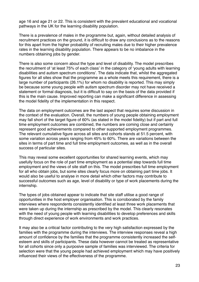age 16 and age 21 or 22. This is consistent with the prevalent educational and vocational pathways in the UK for the learning disability population.

There is a prevalence of males in the programme but, again, without detailed analysis of recruitment practices on the ground, it is difficult to draw any conclusions as to the reasons for this apart from the higher probability of recruiting males due to their higher prevalence rates in the learning disability population. There appears to be no imbalance in the numbers obtaining jobs by gender.

There is also some concern about the type and level of disability. The model prescribes the recruitment of ʻat least 75% of each class' in the category of ʻyoung adults with learning disabilities and autism spectrum conditions'. The data indicate that, whilst the aggregated figures for all sites show that the programme as a whole meets this requirement, there is a large number of participants (26.1%) for whom no disability is reported. This may simply be because some young people with autism spectrum disorder may not have received a statement or formal diagnosis, but it is difficult to say on the basis of the data provided if this is the main cause. Improved reporting can make a significant difference in assessing the model fidelity of the implementation in this respect.

The data on employment outcomes are the last aspect that requires some discussion in the context of the evaluation. Overall, the numbers of young people obtaining employment may fall short of the target figure of 60% (as stated in the model fidelity) but if part and full time employment outcomes are combined, the numbers are coming close and certainly represent good achievements compared to other supported employment programmes. The relevant cumulative figure across all sites and cohorts stands at 51.5 percent, with some variation across years ranging from 45% to 60%. There are variations between the sites in terms of part time and full time employment outcomes, as well as in the overall success of particular sites.

This may reveal some excellent opportunities for shared learning events, which may usefully focus on the role of part time employment as a potential step towards full time employment and the views of site staff on this. The model prescribes full time employment for all who obtain jobs, but some sites clearly focus more on obtaining part time jobs. It would also be useful to analyse in more detail which other factors may contribute to successful outcomes such as age, level of disability or type of work placements during the internship.

The types of jobs obtained appear to indicate that site staff utilise a good range of opportunities in the host employer organisation. This is corroborated by the family interviews where respondents consistently identified at least three work placements that were taken up during the internship as prescribed by the model. This clearly resonates with the need of young people with learning disabilities to develop preferences and skills through direct experience of work environments and work practices.

It may also be a critical factor contributing to the very high satisfaction expressed by the families with the programme during the interviews. The interview responses reveal a high amount of confidence by the families that the programme consistently increased the selfesteem and skills of participants. These data however cannot be treated as representative for all cohorts since only a purposive sample of families was interviewed. The criteria for selection were that the young people had achieved employment which may have positively influenced their views of the effectiveness of the programme.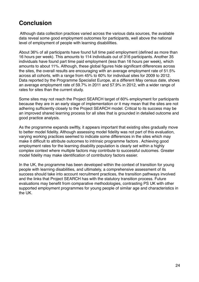### <span id="page-23-0"></span>**Conclusion**

Although data collection practices varied across the various data sources, the available data reveal some good employment outcomes for participants, well above the national level of employment of people with learning disabililties.

About 36% of all participants have found full time paid employment (defined as more than 16 hours per week). This amounts to 114 individuals out of 316 participants. Another 35 individuals have found part time paid employment (less than 16 hours per week), which amounts to about 11%. Although, these global figures hide significant differences across the sites, the overall results are encouraging with an average employment rate of 51.5% across all cohorts, with a range from 45% to 60% for individual sites for 2009 to 2012. Data reported by the Programme Specialist Europe, at a different May census date, shows an average employment rate of 59.7% in 2011 and 57.9% in 2012, with a wider range of rates for sites than the current study.

Some sites may not reach the Project SEARCH target of 60% employment for participants because they are in an early stage of implementation or it may mean that the sites are not adhering sufficiently closely to the Project SEARCH model. Critical to its success may be an improved shared learning process for all sites that is grounded in detailed outcome and good practice analysis.

As the programme expands swiftly, it appears important that existing sites gradually move to better model fidelity. Although assessing model fidelity was not part of this evaluation, varying working practices seemed to indicate some differences in the sites which may make it difficult to attribute outcomes to intrinsic programme factors . Achieving good employment rates for the learning disability population is clearly set within a highly complex context where multiple factors may contribute to successful outcomes. Greater model fidelity may make identification of contributory factors easier.

In the UK, the programme has been developed within the context of transition for young people with learning disabilities, and ultimately, a comprehensive assessment of its success should take into account recruitment practices, the transition pathways involved and the links that Project SEARCH has with the statutory transition process. Future evaluations may benefit from comparative methodologies, contrasting PS UK with other supported employment programmes for young people of similar age and characteristics in the UK.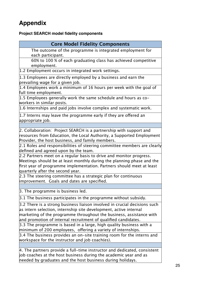## <span id="page-24-0"></span>**Appendix**

#### <span id="page-24-1"></span>**Project SEARCH model fidelity components**

| <b>Core Model Fidelity Components</b>                              |
|--------------------------------------------------------------------|
| The outcome of the programme is integrated employment for          |
| each participant.                                                  |
| 60% to 100 % of each graduating class has achieved competitive     |
| employment.                                                        |
| 1.2 Employment occurs in integrated work settings.                 |
| 1.3 Employees are directly employed by a business and earn the     |
| prevailing wage for a given job.                                   |
| 1.4 Employees work a minimum of 16 hours per week with the goal of |

full time employment. 1.5 Employees generally work the same schedule and hours as co-

workers in similar posts.

1.6 Internships and paid jobs involve complex and systematic work.

 $|1.7$  Interns may leave the programme early if they are offered an appropriate job.

2. Collaboration: Project SEARCH is a partnership with support and resources from Education, the Local Authority, a Supported Employment Provider, the host business, and family members.

2.1 Roles and responsibilities of steering committee members are clearly defined and agreed upon by the team.

2.2 Partners meet on a regular basis to drive and monitor progress. Meetings should be at least monthly during the planning phase and the first year of programme implementation. Partners should meet at least quarterly after the second year.

2.3 The steering committee has a strategic plan for continuous improvement. Goals and dates are specified.

3. The programme is business led.

3.1 The business participates in the programme without subsidy.

3.2 There is a strong business liaison involved in crucial decisions such as intern selection, internship site development, active internal marketing of the programme throughout the business, assistance with and promotion of internal recruitment of qualified candidates.

3.3 The programme is based in a large, high quality business with a  $\mu$ minimum of 200 employees, offering a variety of internships.

3.4 The business provides an on-site training room for the interns and workspace for the instructor and job coach(es).

4. The partners provide a full-time instructor and dedicated, consistent job coaches at the host business during the academic year and as needed by graduates and the host business during holidays.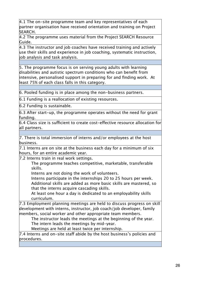$4.1$  The on-site programme team and key representatives of each partner organisation have received orientation and training on Project SEARCH.

4.2 The programme uses material from the Project SEARCH Resource Guide.

4.3 The instructor and job coaches have received training and actively use their skills and experience in job coaching, systematic instruction, job analysis and task analysis.

5. The programme focus is on serving young adults with learning disabilities and autistic spectrum conditions who can benefit from intensive, personalised support in preparing for and finding work. At least 75% of each class falls in this category.

6. Pooled funding is in place among the non-business partners.

6.1 Funding is a reallocation of existing resources.

6.2 Funding is sustainable.

6.3 After start-up, the programme operates without the need for grant funding.

6.4 Class size is sufficient to create cost-effective resource allocation for all partners.

7. There is total immersion of interns and/or employees at the host business.

7.1 Interns are on site at the business each day for a minimum of six hours, for an entire academic year.

7.2 Interns train in real work settings.

The programme teaches competitive, marketable, transferable skills.

Interns are not doing the work of volunteers.

Interns participate in the internships 20 to 25 hours per week. Additional skills are added as more basic skills are mastered, so that the interns acquire cascading skills.

At least one hour a day is dedicated to an employability skills curriculum.

7.3 Employment planning meetings are held to discuss progress on skill development with interns, instructor, job coach/job developer, family members, social worker and other appropriate team members.

The instructor leads the meetings at the beginning of the year.

The intern leads the meetings by mid-year.

Meetings are held at least twice per internship.

 $|7.4$  Interns and on–site staff abide by the host business's policies and  $|$ procedures.